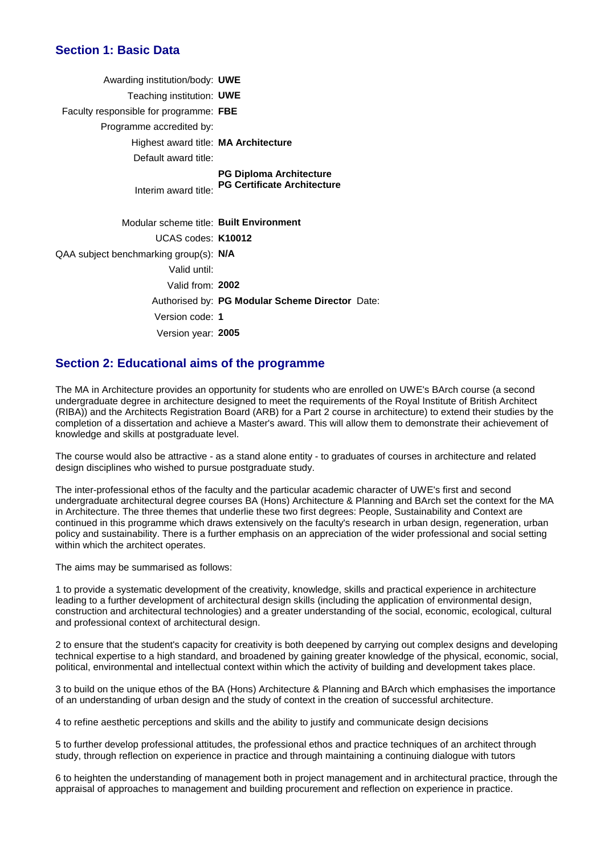### **Section 1: Basic Data**

| Awarding institution/body: UWE          |                                                                      |
|-----------------------------------------|----------------------------------------------------------------------|
| Teaching institution: UWE               |                                                                      |
| Faculty responsible for programme: FBE  |                                                                      |
| Programme accredited by:                |                                                                      |
| Highest award title: MA Architecture    |                                                                      |
| Default award title:                    |                                                                      |
| Interim award title:                    | <b>PG Diploma Architecture</b><br><b>PG Certificate Architecture</b> |
| Modular scheme title: Built Environment |                                                                      |
| UCAS codes: K10012                      |                                                                      |
| QAA subject benchmarking group(s): N/A  |                                                                      |
| Valid until:                            |                                                                      |
| Valid from: 2002                        |                                                                      |
|                                         | Authorised by: PG Modular Scheme Director Date:                      |
| Version code: 1                         |                                                                      |
| Version year: 2005                      |                                                                      |
|                                         |                                                                      |

### **Section 2: Educational aims of the programme**

The MA in Architecture provides an opportunity for students who are enrolled on UWE's BArch course (a second undergraduate degree in architecture designed to meet the requirements of the Royal Institute of British Architect (RIBA)) and the Architects Registration Board (ARB) for a Part 2 course in architecture) to extend their studies by the completion of a dissertation and achieve a Master's award. This will allow them to demonstrate their achievement of knowledge and skills at postgraduate level.

The course would also be attractive - as a stand alone entity - to graduates of courses in architecture and related design disciplines who wished to pursue postgraduate study.

The inter-professional ethos of the faculty and the particular academic character of UWE's first and second undergraduate architectural degree courses BA (Hons) Architecture & Planning and BArch set the context for the MA in Architecture. The three themes that underlie these two first degrees: People, Sustainability and Context are continued in this programme which draws extensively on the faculty's research in urban design, regeneration, urban policy and sustainability. There is a further emphasis on an appreciation of the wider professional and social setting within which the architect operates.

The aims may be summarised as follows:

1 to provide a systematic development of the creativity, knowledge, skills and practical experience in architecture leading to a further development of architectural design skills (including the application of environmental design, construction and architectural technologies) and a greater understanding of the social, economic, ecological, cultural and professional context of architectural design.

2 to ensure that the student's capacity for creativity is both deepened by carrying out complex designs and developing technical expertise to a high standard, and broadened by gaining greater knowledge of the physical, economic, social, political, environmental and intellectual context within which the activity of building and development takes place.

3 to build on the unique ethos of the BA (Hons) Architecture & Planning and BArch which emphasises the importance of an understanding of urban design and the study of context in the creation of successful architecture.

4 to refine aesthetic perceptions and skills and the ability to justify and communicate design decisions

5 to further develop professional attitudes, the professional ethos and practice techniques of an architect through study, through reflection on experience in practice and through maintaining a continuing dialogue with tutors

6 to heighten the understanding of management both in project management and in architectural practice, through the appraisal of approaches to management and building procurement and reflection on experience in practice.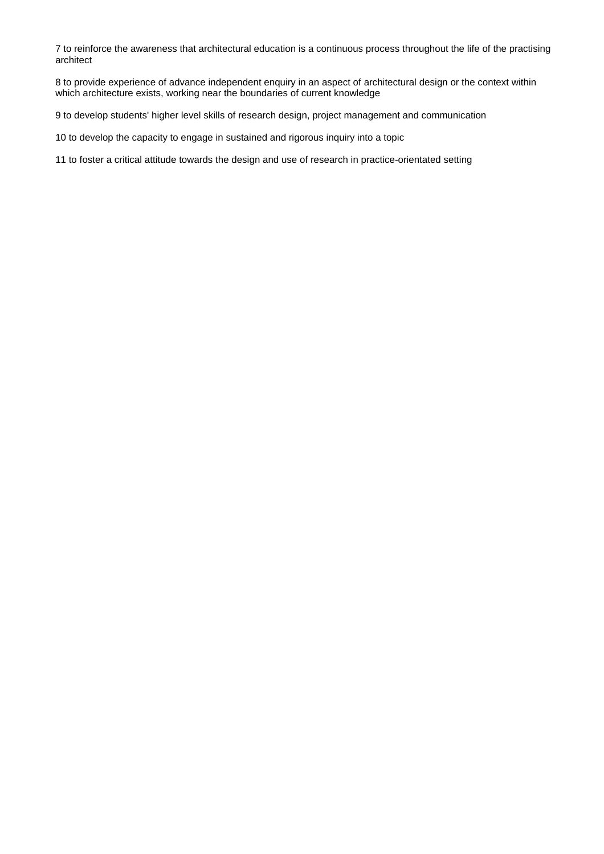to reinforce the awareness that architectural education is a continuous process throughout the life of the practising architect

 to provide experience of advance independent enquiry in an aspect of architectural design or the context within which architecture exists, working near the boundaries of current knowledge

to develop students' higher level skills of research design, project management and communication

to develop the capacity to engage in sustained and rigorous inquiry into a topic

to foster a critical attitude towards the design and use of research in practice-orientated setting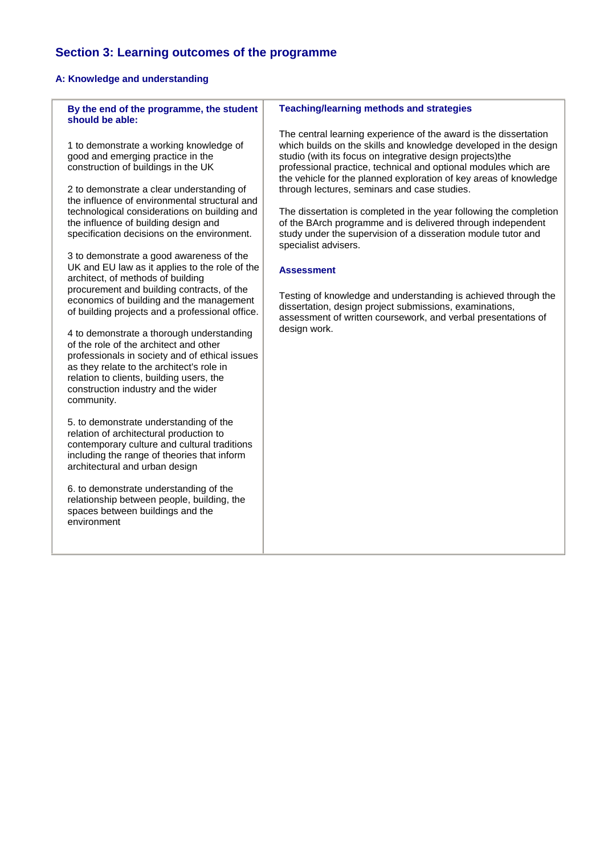# **Section 3: Learning outcomes of the programme**

## **A: Knowledge and understanding**

| By the end of the programme, the student<br>should be able:                                                                                                                                                                                                                                                                                                                                                                                                                                                                                                                                                                              | <b>Teaching/learning methods and strategies</b>                                                                                                                                                                                                                                                                                                                                                                                                                                                                                                                                                                                                                                                                                                                                                                                                            |
|------------------------------------------------------------------------------------------------------------------------------------------------------------------------------------------------------------------------------------------------------------------------------------------------------------------------------------------------------------------------------------------------------------------------------------------------------------------------------------------------------------------------------------------------------------------------------------------------------------------------------------------|------------------------------------------------------------------------------------------------------------------------------------------------------------------------------------------------------------------------------------------------------------------------------------------------------------------------------------------------------------------------------------------------------------------------------------------------------------------------------------------------------------------------------------------------------------------------------------------------------------------------------------------------------------------------------------------------------------------------------------------------------------------------------------------------------------------------------------------------------------|
| 1 to demonstrate a working knowledge of<br>good and emerging practice in the<br>construction of buildings in the UK<br>2 to demonstrate a clear understanding of<br>the influence of environmental structural and<br>technological considerations on building and<br>the influence of building design and<br>specification decisions on the environment.<br>3 to demonstrate a good awareness of the<br>UK and EU law as it applies to the role of the<br>architect, of methods of building<br>procurement and building contracts, of the<br>economics of building and the management<br>of building projects and a professional office. | The central learning experience of the award is the dissertation<br>which builds on the skills and knowledge developed in the design<br>studio (with its focus on integrative design projects)the<br>professional practice, technical and optional modules which are<br>the vehicle for the planned exploration of key areas of knowledge<br>through lectures, seminars and case studies.<br>The dissertation is completed in the year following the completion<br>of the BArch programme and is delivered through independent<br>study under the supervision of a disseration module tutor and<br>specialist advisers.<br><b>Assessment</b><br>Testing of knowledge and understanding is achieved through the<br>dissertation, design project submissions, examinations,<br>assessment of written coursework, and verbal presentations of<br>design work. |
| 4 to demonstrate a thorough understanding<br>of the role of the architect and other<br>professionals in society and of ethical issues<br>as they relate to the architect's role in<br>relation to clients, building users, the<br>construction industry and the wider<br>community.                                                                                                                                                                                                                                                                                                                                                      |                                                                                                                                                                                                                                                                                                                                                                                                                                                                                                                                                                                                                                                                                                                                                                                                                                                            |
| 5. to demonstrate understanding of the<br>relation of architectural production to<br>contemporary culture and cultural traditions<br>including the range of theories that inform<br>architectural and urban design                                                                                                                                                                                                                                                                                                                                                                                                                       |                                                                                                                                                                                                                                                                                                                                                                                                                                                                                                                                                                                                                                                                                                                                                                                                                                                            |
| 6. to demonstrate understanding of the<br>relationship between people, building, the<br>spaces between buildings and the<br>environment                                                                                                                                                                                                                                                                                                                                                                                                                                                                                                  |                                                                                                                                                                                                                                                                                                                                                                                                                                                                                                                                                                                                                                                                                                                                                                                                                                                            |
|                                                                                                                                                                                                                                                                                                                                                                                                                                                                                                                                                                                                                                          |                                                                                                                                                                                                                                                                                                                                                                                                                                                                                                                                                                                                                                                                                                                                                                                                                                                            |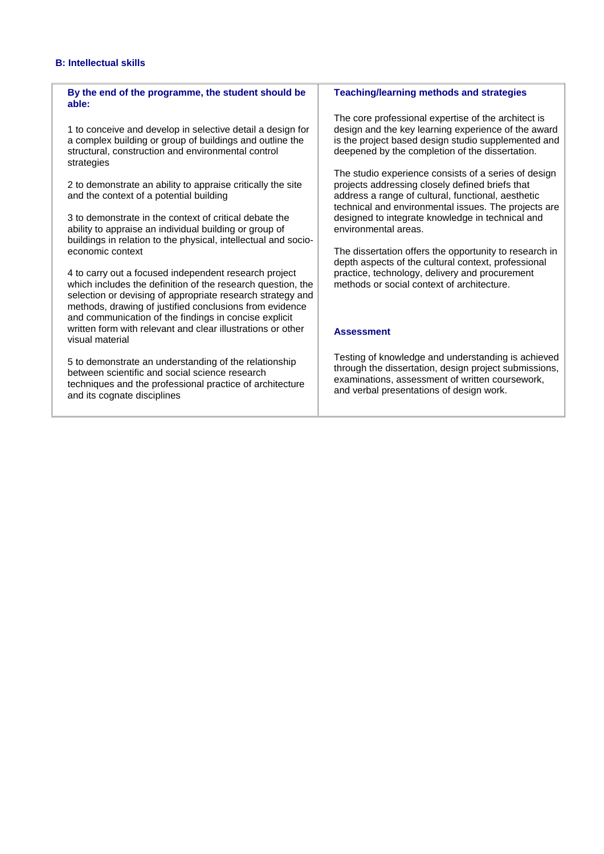#### **B: Intellectual skills**

#### **By the end of the programme, the student should be able:**

1 to conceive and develop in selective detail a design for a complex building or group of buildings and outline the structural, construction and environmental control strategies

2 to demonstrate an ability to appraise critically the site and the context of a potential building

3 to demonstrate in the context of critical debate the ability to appraise an individual building or group of buildings in relation to the physical, intellectual and socioeconomic context

4 to carry out a focused independent research project which includes the definition of the research question, the selection or devising of appropriate research strategy and methods, drawing of justified conclusions from evidence and communication of the findings in concise explicit written form with relevant and clear illustrations or other visual material

5 to demonstrate an understanding of the relationship between scientific and social science research techniques and the professional practice of architecture and its cognate disciplines

#### **Teaching/learning methods and strategies**

The core professional expertise of the architect is design and the key learning experience of the award is the project based design studio supplemented and deepened by the completion of the dissertation.

The studio experience consists of a series of design projects addressing closely defined briefs that address a range of cultural, functional, aesthetic technical and environmental issues. The projects are designed to integrate knowledge in technical and environmental areas.

The dissertation offers the opportunity to research in depth aspects of the cultural context, professional practice, technology, delivery and procurement methods or social context of architecture.

#### **Assessment**

Testing of knowledge and understanding is achieved through the dissertation, design project submissions, examinations, assessment of written coursework, and verbal presentations of design work.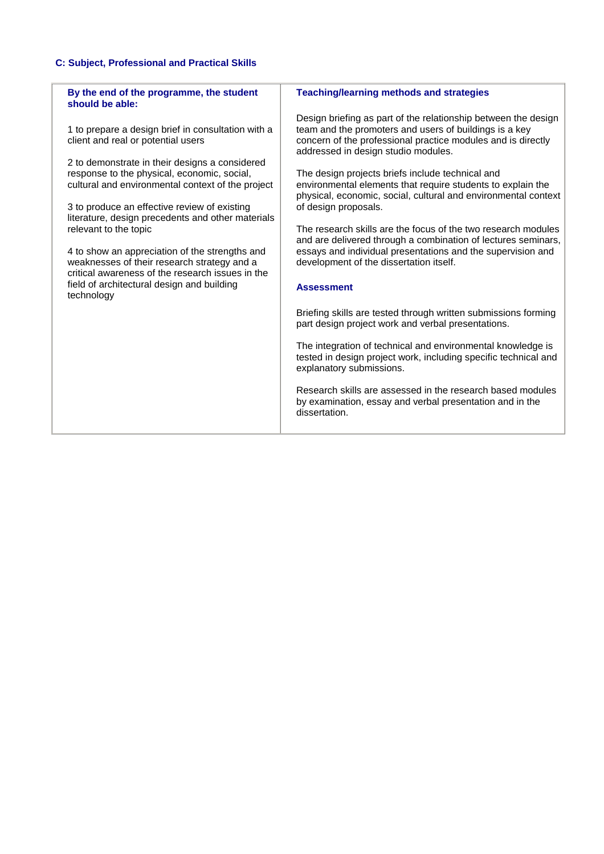### **C: Subject, Professional and Practical Skills**

| By the end of the programme, the student<br>should be able:                                                                                                                                                                                                                                                                                         | <b>Teaching/learning methods and strategies</b>                                                                                                                                                                                                                                                                                                                                                                                              |
|-----------------------------------------------------------------------------------------------------------------------------------------------------------------------------------------------------------------------------------------------------------------------------------------------------------------------------------------------------|----------------------------------------------------------------------------------------------------------------------------------------------------------------------------------------------------------------------------------------------------------------------------------------------------------------------------------------------------------------------------------------------------------------------------------------------|
| 1 to prepare a design brief in consultation with a<br>client and real or potential users<br>2 to demonstrate in their designs a considered<br>response to the physical, economic, social,<br>cultural and environmental context of the project<br>3 to produce an effective review of existing<br>literature, design precedents and other materials | Design briefing as part of the relationship between the design<br>team and the promoters and users of buildings is a key<br>concern of the professional practice modules and is directly<br>addressed in design studio modules.<br>The design projects briefs include technical and<br>environmental elements that require students to explain the<br>physical, economic, social, cultural and environmental context<br>of design proposals. |
| relevant to the topic<br>4 to show an appreciation of the strengths and<br>weaknesses of their research strategy and a<br>critical awareness of the research issues in the<br>field of architectural design and building<br>technology                                                                                                              | The research skills are the focus of the two research modules<br>and are delivered through a combination of lectures seminars,<br>essays and individual presentations and the supervision and<br>development of the dissertation itself.<br><b>Assessment</b>                                                                                                                                                                                |
|                                                                                                                                                                                                                                                                                                                                                     | Briefing skills are tested through written submissions forming<br>part design project work and verbal presentations.<br>The integration of technical and environmental knowledge is<br>tested in design project work, including specific technical and<br>explanatory submissions.<br>Research skills are assessed in the research based modules<br>by examination, essay and verbal presentation and in the<br>dissertation.                |
|                                                                                                                                                                                                                                                                                                                                                     |                                                                                                                                                                                                                                                                                                                                                                                                                                              |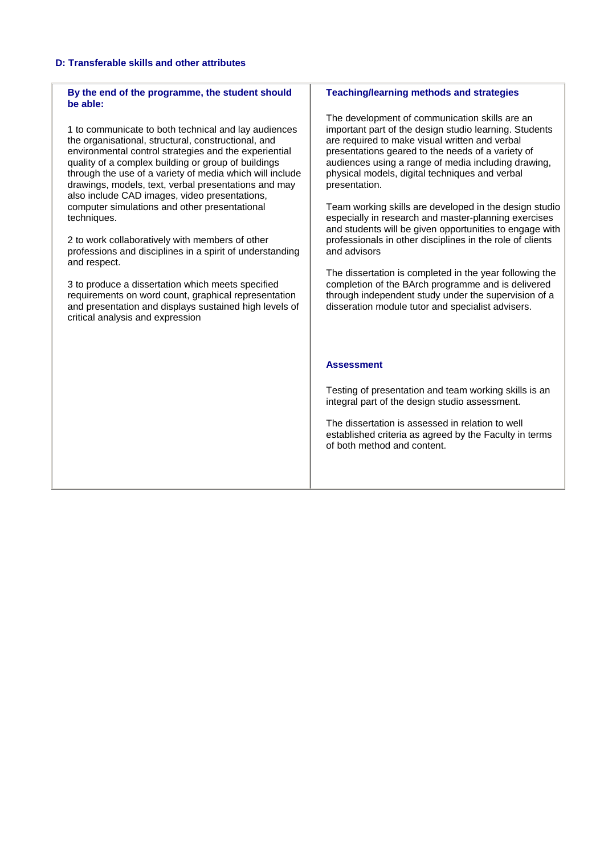#### **D: Transferable skills and other attributes**

critical analysis and expression

#### **By the end of the programme, the student should be able:** 1 to communicate to both technical and lay audiences the organisational, structural, constructional, and environmental control strategies and the experiential quality of a complex building or group of buildings through the use of a variety of media which will include drawings, models, text, verbal presentations and may also include CAD images, video presentations, computer simulations and other presentational techniques. 2 to work collaboratively with members of other professions and disciplines in a spirit of understanding and respect. 3 to produce a dissertation which meets specified requirements on word count, graphical representation and presentation and displays sustained high levels of **Teaching/learning methods and strategies** The development of communication skills are an important part of the design studio learning. Students are required to make visual written and verbal presentations geared to the needs of a variety of audiences using a range of media including drawing, physical models, digital techniques and verbal presentation. Team working skills are developed in the design studio especially in research and master-planning exercises and students will be given opportunities to engage with professionals in other disciplines in the role of clients and advisors The dissertation is completed in the year following the completion of the BArch programme and is delivered through independent study under the supervision of a disseration module tutor and specialist advisers.

#### **Assessment**

Testing of presentation and team working skills is an integral part of the design studio assessment.

The dissertation is assessed in relation to well established criteria as agreed by the Faculty in terms of both method and content.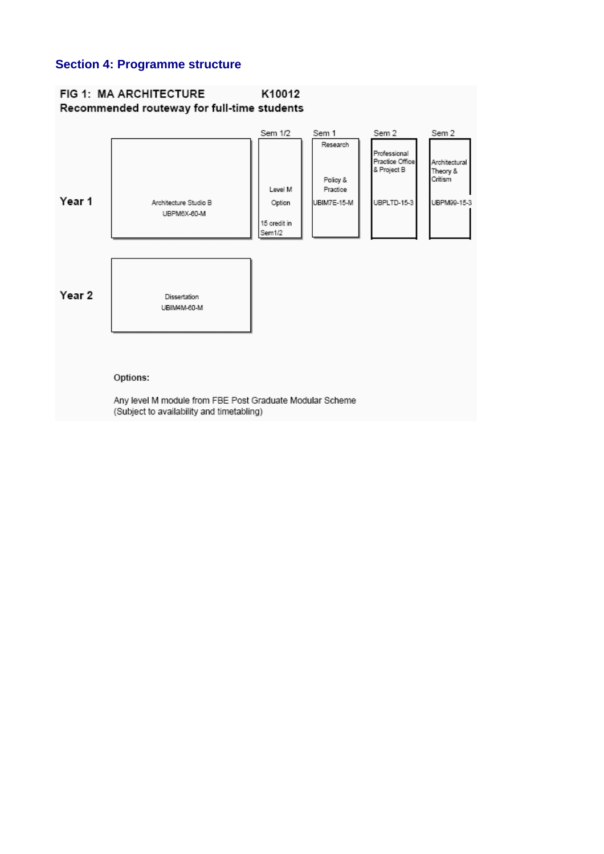### **Section 4: Programme structure**

### FIG 1: MA ARCHITECTURE K10012 Recommended routeway for full-time students

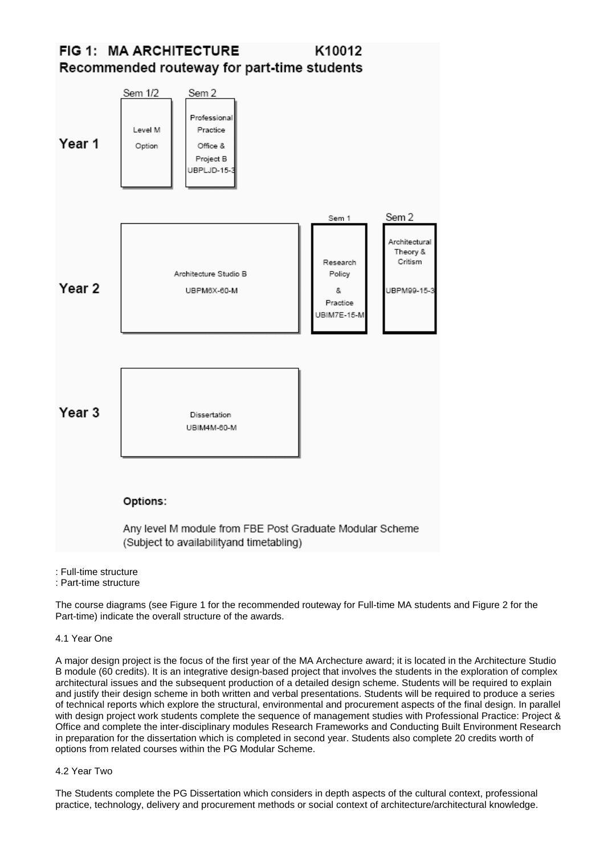#### FIG 1: MA ARCHITECTURE K10012 Recommended routeway for part-time students



- : Full-time structure
- : Part-time structure

The course diagrams (see Figure 1 for the recommended routeway for Full-time MA students and Figure 2 for the Part-time) indicate the overall structure of the awards.

4.1 Year One

A major design project is the focus of the first year of the MA Archecture award; it is located in the Architecture Studio B module (60 credits). It is an integrative design-based project that involves the students in the exploration of complex architectural issues and the subsequent production of a detailed design scheme. Students will be required to explain and justify their design scheme in both written and verbal presentations. Students will be required to produce a series of technical reports which explore the structural, environmental and procurement aspects of the final design. In parallel with design project work students complete the sequence of management studies with Professional Practice: Project & Office and complete the inter-disciplinary modules Research Frameworks and Conducting Built Environment Research in preparation for the dissertation which is completed in second year. Students also complete 20 credits worth of options from related courses within the PG Modular Scheme.

#### 4.2 Year Two

The Students complete the PG Dissertation which considers in depth aspects of the cultural context, professional practice, technology, delivery and procurement methods or social context of architecture/architectural knowledge.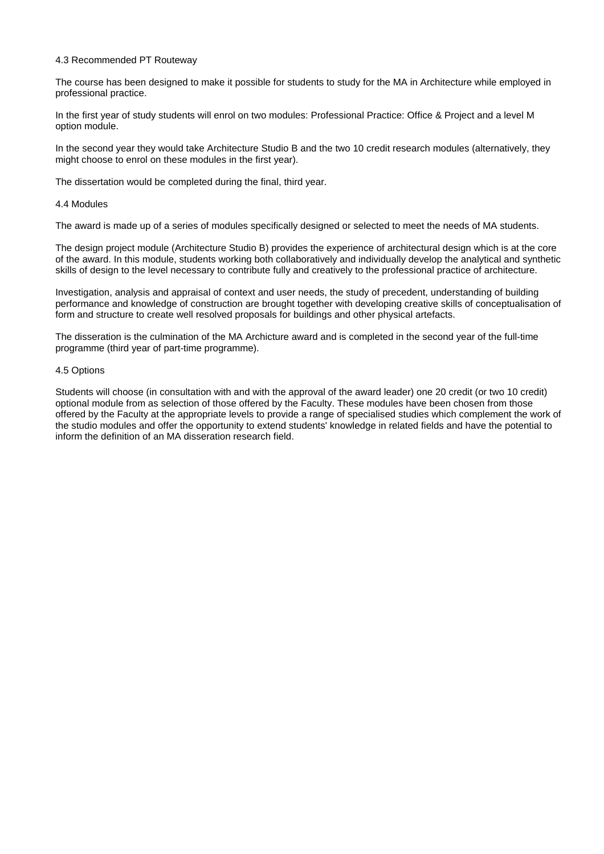#### 4.3 Recommended PT Routeway

The course has been designed to make it possible for students to study for the MA in Architecture while employed in professional practice.

In the first year of study students will enrol on two modules: Professional Practice: Office & Project and a level M option module.

In the second year they would take Architecture Studio B and the two 10 credit research modules (alternatively, they might choose to enrol on these modules in the first year).

The dissertation would be completed during the final, third year.

#### 4.4 Modules

The award is made up of a series of modules specifically designed or selected to meet the needs of MA students.

The design project module (Architecture Studio B) provides the experience of architectural design which is at the core of the award. In this module, students working both collaboratively and individually develop the analytical and synthetic skills of design to the level necessary to contribute fully and creatively to the professional practice of architecture.

Investigation, analysis and appraisal of context and user needs, the study of precedent, understanding of building performance and knowledge of construction are brought together with developing creative skills of conceptualisation of form and structure to create well resolved proposals for buildings and other physical artefacts.

The disseration is the culmination of the MA Archicture award and is completed in the second year of the full-time programme (third year of part-time programme).

#### 4.5 Options

Students will choose (in consultation with and with the approval of the award leader) one 20 credit (or two 10 credit) optional module from as selection of those offered by the Faculty. These modules have been chosen from those offered by the Faculty at the appropriate levels to provide a range of specialised studies which complement the work of the studio modules and offer the opportunity to extend students' knowledge in related fields and have the potential to inform the definition of an MA disseration research field.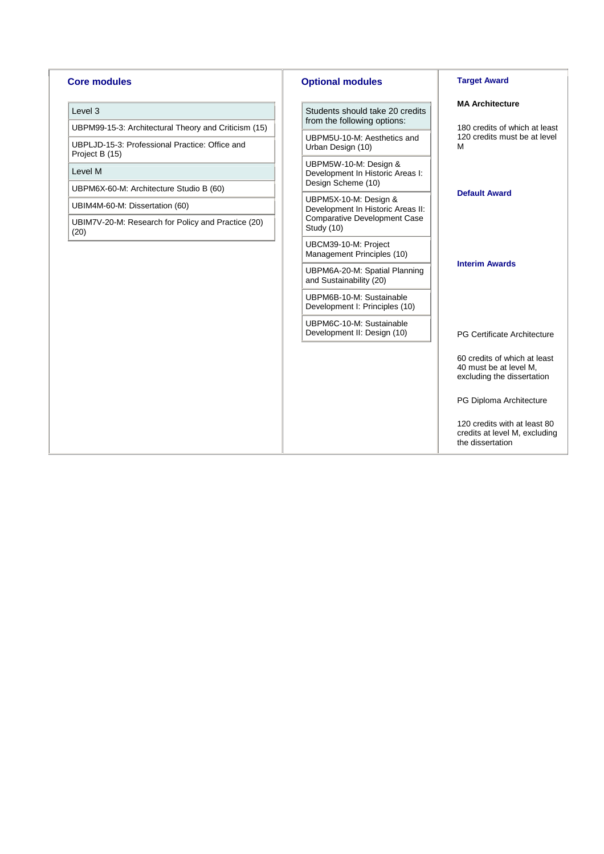#### **Core modules**

#### Level 3

UBPM99-15-3: Architectural Theory and Criticism (15)

UBPLJD-15-3: Professional Practice: Office and Project B (15)

#### Level M

UBPM6X-60-M: Architecture Studio B (60)

UBIM4M-60-M: Dissertation (60)

UBIM7V-20-M: Research for Policy and Practice (20) (20)

#### **Optional modules**

Students should take 20 credits from the following options:

UBPM5U-10-M: Aesthetics and Urban Design (10)

UBPM5W-10-M: Design & Development In Historic Areas I: Design Scheme (10)

UBPM5X-10-M: Design & Development In Historic Areas II: Comparative Development Case Study (10)

UBCM39-10-M: Project Management Principles (10)

UBPM6A-20-M: Spatial Planning and Sustainability (20)

UBPM6B-10-M: Sustainable Development I: Principles (10)

UBPM6C-10-M: Sustainable Development II: Design (10)

#### **Target Award**

#### **MA Architecture**

180 credits of which at least 120 credits must be at level M

#### **Default Award**

#### **Interim Awards**

PG Certificate Architecture

60 credits of which at least 40 must be at level M, excluding the dissertation

PG Diploma Architecture

120 credits with at least 80 credits at level M, excluding the dissertation